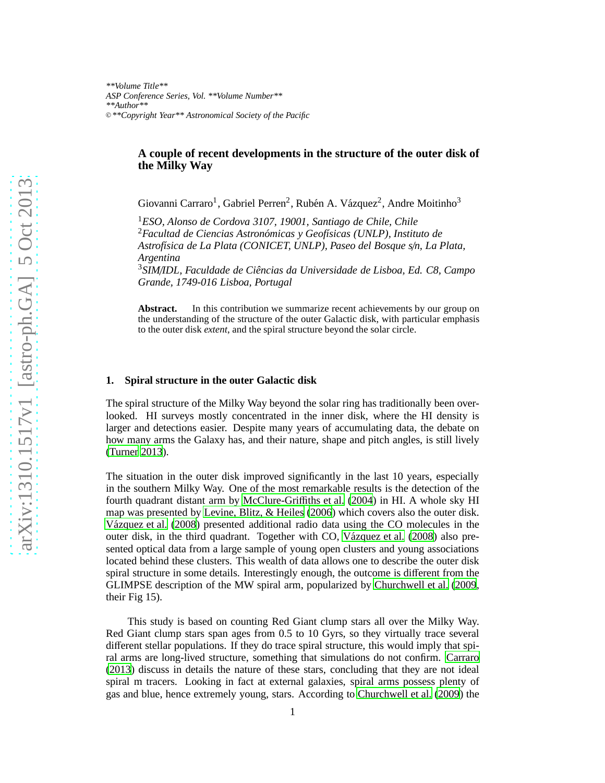## **A couple of recent developments in the structure of the outer disk of the Milky Way**

Giovanni Carraro<sup>1</sup>, Gabriel Perren<sup>2</sup>, Rubén A. Vázquez<sup>2</sup>, Andre Moitinho<sup>3</sup>

<sup>1</sup>*ESO, Alonso de Cordova 3107, 19001, Santiago de Chile, Chile* <sup>2</sup> Facultad de Ciencias Astronómicas y Geofísicas (UNLP), Instituto de *Astrof´ısica de La Plata (CONICET, UNLP), Paseo del Bosque s*/*n, La Plata, Argentina*

<sup>3</sup>*SIM*/*IDL, Faculdade de Ciˆencias da Universidade de Lisboa, Ed. C8, Campo Grande, 1749-016 Lisboa, Portugal*

**Abstract.** In this contribution we summarize recent achievements by our group on the understanding of the structure of the outer Galactic disk, with particular emphasis to the outer disk *extent*, and the spiral structure beyond the solar circle.

## **1. Spiral structure in the outer Galactic disk**

The spiral structure of the Milky Way beyond the solar ring has traditionally been overlooked. HI surveys mostly concentrated in the inner disk, where the HI density is larger and detections easier. Despite many years of accumulating data, the debate on how many arms the Galaxy has, and their nature, shape and pitch angles, is still lively [\(Turner 2013](#page-4-0)).

The situation in the outer disk improved significantly in the last 10 years, especially in the southern Milky Way. One of the most remarkable results is the detection of the fourth quadrant distant arm by [McClure-Gri](#page-4-1)ffiths et al. [\(2004](#page-4-1)) in HI. A whole sky HI map was presented by [Levine, Blitz, & Heiles \(2006](#page-2-0)) which covers also the outer disk. Vázquez et al. (2008) presented additional radio data using the CO molecules in the outer disk, in the third quadrant. Together with CO, Vázquez et al. (2008) also presented optical data from a large sample of young open clusters and young associations located behind these clusters. This wealth of data allows one to describe the outer disk spiral structure in some details. Interestingly enough, the outcome is different from the GLIMPSE description of the MW spiral arm, popularized by [Churchwell et al.](#page-2-1) [\(2009](#page-2-1), their Fig 15).

This study is based on counting Red Giant clump stars all over the Milky Way. Red Giant clump stars span ages from 0.5 to 10 Gyrs, so they virtually trace several different stellar populations. If they do trace spiral structure, this would imply that spiral arms are long-lived structure, something that simulations do not confirm. [Carraro](#page-2-2) [\(2013](#page-2-2)) discuss in details the nature of these stars, concluding that they are not ideal spiral m tracers. Looking in fact at external galaxies, spiral arms possess plenty of gas and blue, hence extremely young, stars. According to [Churchwell et al.](#page-2-1) [\(2009](#page-2-1)) the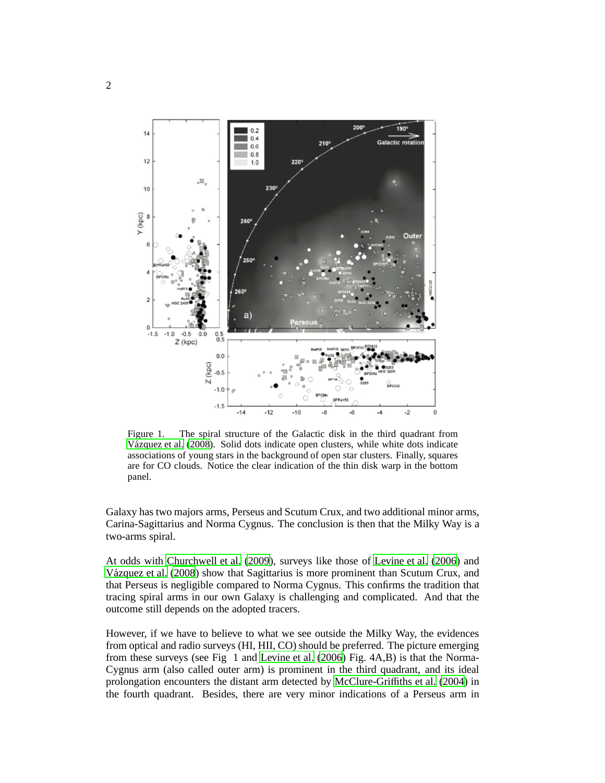

Figure 1. The spiral structure of the Galactic disk in the third quadrant from Vázquez et al. (2008). Solid dots indicate open clusters, while white dots indicate associations of young stars in the background of open star clusters. Finally, squares are for CO clouds. Notice the clear indication of the thin disk warp in the bottom panel.

Galaxy has two majors arms, Perseus and Scutum Crux, and two additional minor arms, Carina-Sagittarius and Norma Cygnus. The conclusion is then that the Milky Way is a two-arms spiral.

At odds with [Churchwell et al. \(2009](#page-2-1)), surveys like those of [Levine et al. \(2006](#page-2-0)) and Vázquez et al. (2008) show that Sagittarius is more prominent than Scutum Crux, and that Perseus is negligible compared to Norma Cygnus. This confirms the tradition that tracing spiral arms in our own Galaxy is challenging and complicated. And that the outcome still depends on the adopted tracers.

However, if we have to believe to what we see outside the Milky Way, the evidences from optical and radio surveys (HI, HII, CO) should be preferred. The picture emerging from these surveys (see Fig 1 and [Levine et al.](#page-2-0) [\(2006](#page-2-0)) Fig. 4A,B) is that the Norma-Cygnus arm (also called outer arm) is prominent in the third quadrant, and its ideal prolongation encounters the distant arm detected by [McClure-Gri](#page-4-1)ffiths et al. [\(2004](#page-4-1)) in the fourth quadrant. Besides, there are very minor indications of a Perseus arm in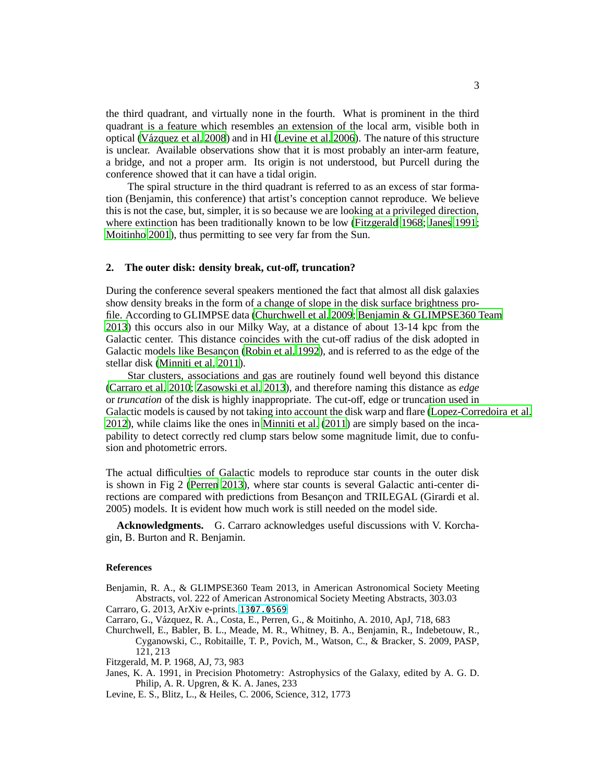the third quadrant, and virtually none in the fourth. What is prominent in the third quadrant is a feature which resembles an extension of the local arm, visible both in optical [\(V´azquez et al. 2008](#page-4-2)) and in HI [\(Levine et al. 2006](#page-2-0)). The nature of this structure is unclear. Available observations show that it is most probably an inter-arm feature, a bridge, and not a proper arm. Its origin is not understood, but Purcell during the conference showed that it can have a tidal origin.

The spiral structure in the third quadrant is referred to as an excess of star formation (Benjamin, this conference) that artist's conception cannot reproduce. We believe this is not the case, but, simpler, it is so because we are looking at a privileged direction, where extinction has been traditionally known to be low [\(Fitzgerald 1968](#page-2-3); [Janes 1991](#page-2-4); [Moitinho 2001](#page-4-3)), thus permitting to see very far from the Sun.

## **2. The outer disk: density break, cut-o**ff**, truncation?**

During the conference several speakers mentioned the fact that almost all disk galaxies show density breaks in the form of a change of slope in the disk surface brightness profile. According to GLIMPSE data [\(Churchwell et al. 2009](#page-2-1); [Benjamin & GLIMPSE360 Team](#page-2-5) [2013](#page-2-5)) this occurs also in our Milky Way, at a distance of about 13-14 kpc from the Galactic center. This distance coincides with the cut-off radius of the disk adopted in Galactic models like Besancon [\(Robin et al. 1992](#page-4-4)), and is referred to as the edge of the stellar disk [\(Minniti et al. 2011](#page-4-5)).

Star clusters, associations and gas are routinely found well beyond this distance [\(Carraro et al. 2010;](#page-2-6) [Zasowski et al. 2013](#page-4-6)), and therefore naming this distance as *edge* or *truncation* of the disk is highly inappropriate. The cut-off, edge or truncation used in Galactic models is caused by not taking into account the disk warp and flare [\(Lopez-Corredoira et al.](#page-3-0) [2012](#page-3-0)), while claims like the ones in [Minniti et al. \(2011\)](#page-4-5) are simply based on the incapability to detect correctly red clump stars below some magnitude limit, due to confusion and photometric errors.

The actual difficulties of Galactic models to reproduce star counts in the outer disk is shown in Fig 2 [\(Perren 2013](#page-4-7)), where star counts is several Galactic anti-center directions are compared with predictions from Besançon and TRILEGAL (Girardi et al. 2005) models. It is evident how much work is still needed on the model side.

**Acknowledgments.** G. Carraro acknowledges useful discussions with V. Korchagin, B. Burton and R. Benjamin.

## **References**

- <span id="page-2-5"></span>Benjamin, R. A., & GLIMPSE360 Team 2013, in American Astronomical Society Meeting Abstracts, vol. 222 of American Astronomical Society Meeting Abstracts, 303.03 Carraro, G. 2013, ArXiv e-prints. <1307.0569>
- <span id="page-2-6"></span><span id="page-2-2"></span>Carraro, G., V´azquez, R. A., Costa, E., Perren, G., & Moitinho, A. 2010, ApJ, 718, 683
- <span id="page-2-1"></span>Churchwell, E., Babler, B. L., Meade, M. R., Whitney, B. A., Benjamin, R., Indebetouw, R., Cyganowski, C., Robitaille, T. P., Povich, M., Watson, C., & Bracker, S. 2009, PASP, 121, 213
- <span id="page-2-3"></span>Fitzgerald, M. P. 1968, AJ, 73, 983
- <span id="page-2-4"></span>Janes, K. A. 1991, in Precision Photometry: Astrophysics of the Galaxy, edited by A. G. D. Philip, A. R. Upgren, & K. A. Janes, 233
- <span id="page-2-0"></span>Levine, E. S., Blitz, L., & Heiles, C. 2006, Science, 312, 1773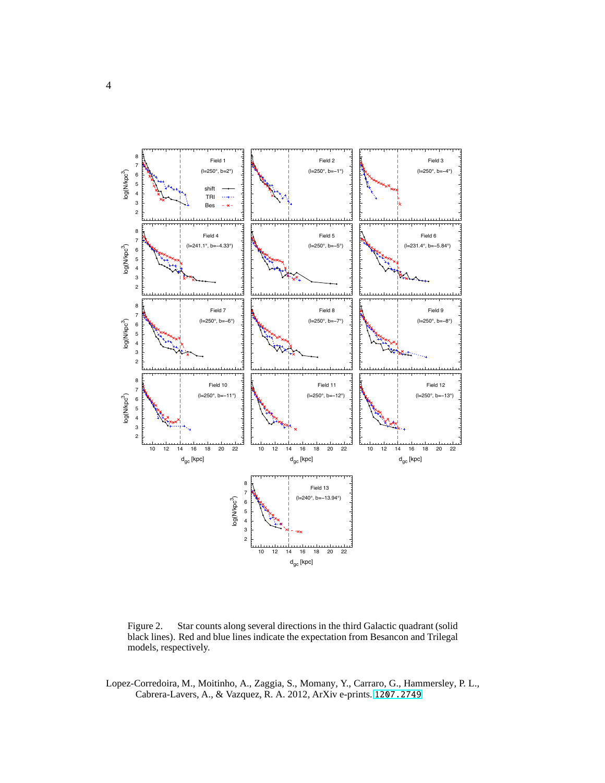

Figure 2. Star counts along several directions in the third Galactic quadrant (solid black lines). Red and blue lines indicate the expectation from Besancon and Trilegal models, respectively.

<span id="page-3-0"></span>Lopez-Corredoira, M., Moitinho, A., Zaggia, S., Momany, Y., Carraro, G., Hammersley, P. L., Cabrera-Lavers, A., & Vazquez, R. A. 2012, ArXiv e-prints. <1207.2749>